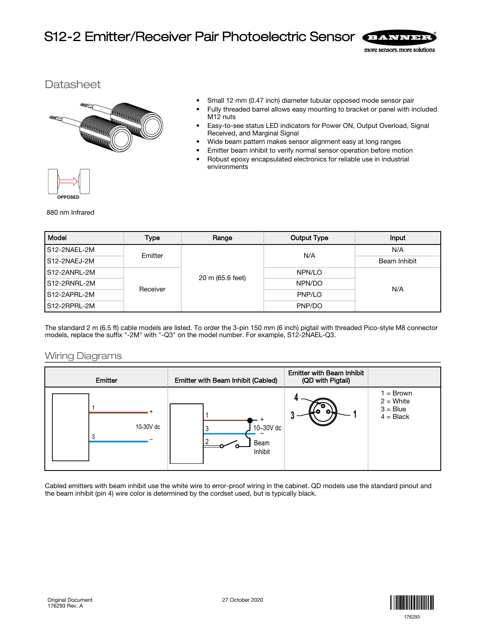# S12-2 Emitter/Receiver Pair Photoelectric Sensor



# **Datasheet**



- Small 12 mm (0.47 inch) diameter tubular opposed mode sensor pair
- Fully threaded barrel allows easy mounting to bracket or panel with included M12 nuts
- Easy-to-see status LED indicators for Power ON, Output Overload, Signal Received, and Marginal Signal
- Wide beam pattern makes sensor alignment easy at long ranges
- Emitter beam inhibit to verify normal sensor operation before motion
- Robust epoxy encapsulated electronics for reliable use in industrial environments



| Model         | Type     | Range            | <b>Output Type</b> | <b>Input</b> |
|---------------|----------|------------------|--------------------|--------------|
| IS12-2NAEL-2M | Emitter  | 20 m (65.6 feet) | N/A                | N/A          |
| IS12-2NAEJ-2M |          |                  |                    | Beam Inhibit |
| IS12-2ANRL-2M | Receiver |                  | NPN/LO             | N/A          |
| S12-2RNRL-2M  |          |                  | NPN/DO             |              |
| S12-2APRL-2M  |          |                  | PNP/LO             |              |
| S12-2RPRL-2M  |          |                  | PNP/DO             |              |

The standard 2 m (6.5 ft) cable models are listed. To order the 3-pin 150 mm (6 inch) pigtail with threaded Pico-style M8 connector models, replace the suffix "-2M" with "-Q3" on the model number. For example, S12-2NAEL-Q3.

## Wiring Diagrams

| Emitter        | Emitter with Beam Inhibit (Cabled) | <b>Emitter with Beam Inhibit</b><br>(QD with Pigtail) |                                                       |
|----------------|------------------------------------|-------------------------------------------------------|-------------------------------------------------------|
| 10-30V dc<br>3 | 10-30V dc<br>3<br>Beam<br>Inhibit  |                                                       | $=$ Brown<br>$2 =$ White<br>$3 = Blue$<br>$4 = Black$ |

Cabled emitters with beam inhibit use the white wire to error-proof wiring in the cabinet. QD models use the standard pinout and the beam inhibit (pin 4) wire color is determined by the cordset used, but is typically black.

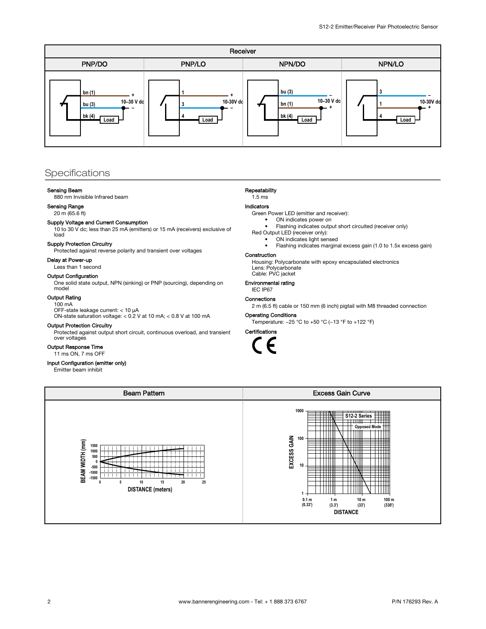

# **Specifications**

## Sensing Beam

880 nm Invisible Infrared beam

Sensing Range 20 m (65.6 ft)

#### Supply Voltage and Current Consumption

10 to 30 V dc; less than 25 mA (emitters) or 15 mA (receivers) exclusive of load

#### Supply Protection Circuitry

Protected against reverse polarity and transient over voltages

#### Delay at Power-up

Less than 1 second

#### Output Configuration

One solid state output, NPN (sinking) or PNP (sourcing), depending on model

#### Output Rating

100 mA OFF-state leakage current: < 10 µA

ON-state saturation voltage: < 0.2 V at 10 mA; < 0.8 V at 100 mA

#### Output Protection Circuitry

Protected against output short circuit, continuous overload, and transient over voltages

## Output Response Time

11 ms ON, 7 ms OFF

### Input Configuration (emitter only)

Emitter beam inhibit

### Repeatability

## 1.5 ms

## Indicators

- Green Power LED (emitter and receiver):
	- ON indicates power on
		- Flashing indicates output short circuited (receiver only)
- Red Output LED (receiver only):
	- ON indicates light sensed
	- Flashing indicates marginal excess gain (1.0 to 1.5x excess gain)

#### Construction

Housing: Polycarbonate with epoxy encapsulated electronics Lens: Polycarbonate Cable: PVC jacket

#### Environmental rating

IEC IP67

#### **Connections**

2 m (6.5 ft) cable or 150 mm (6 inch) pigtail with M8 threaded connection

#### Operating Conditions

Temperature: -25 °C to +50 °C (-13 °F to +122 °F)